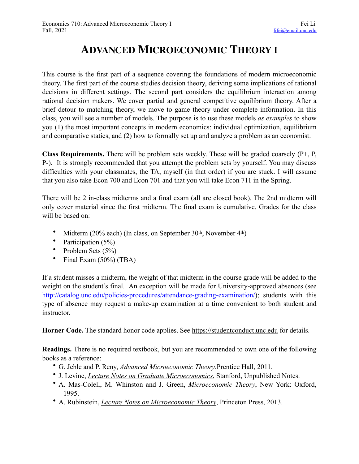## **ADVANCED MICROECONOMIC THEORY I**

This course is the first part of a sequence covering the foundations of modern microeconomic theory. The first part of the course studies decision theory, deriving some implications of rational decisions in different settings. The second part considers the equilibrium interaction among rational decision makers. We cover partial and general competitive equilibrium theory. After a brief detour to matching theory, we move to game theory under complete information. In this class, you will see a number of models. The purpose is to use these models *as examples* to show you (1) the most important concepts in modern economics: individual optimization, equilibrium and comparative statics, and (2) how to formally set up and analyze a problem as an economist.

**Class Requirements.** There will be problem sets weekly. These will be graded coarsely (P+, P, P-). It is strongly recommended that you attempt the problem sets by yourself. You may discuss difficulties with your classmates, the TA, myself (in that order) if you are stuck. I will assume that you also take Econ 700 and Econ 701 and that you will take Econ 711 in the Spring.

There will be 2 in-class midterms and a final exam (all are closed book). The 2nd midterm will only cover material since the first midterm. The final exam is cumulative. Grades for the class will be based on:

- Midterm (20% each) (In class, on September 30th, November 4th)
- Participation  $(5\%)$
- Problem Sets  $(5\%)$
- Final Exam (50%) (TBA)

If a student misses a midterm, the weight of that midterm in the course grade will be added to the weight on the student's final. An exception will be made for University-approved absences (see <http://catalog.unc.edu/policies-procedures/attendance-grading-examination/>); students with this type of absence may request a make-up examination at a time convenient to both student and instructor.

**Horner Code.** The standard honor code applies. See <https://studentconduct.unc.edu> for details.

**Readings.** There is no required textbook, but you are recommended to own one of the following books as a reference:

- G. Jehle and P. Reny, *Advanced Microeconomic Theory*,Prentice Hall, 2011.
- J. Levine, *[Lecture Notes on Graduate Microeconomics](http://web.stanford.edu/~jdlevin/teaching.html)*, Stanford, Unpublished Notes.
- A. Mas-Colell, M. Whinston and J. Green, *Microeconomic Theory*, New York: Oxford, 1995.
- A. Rubinstein, *[Lecture Notes on Microeconomic Theory](http://gametheory.tau.ac.il/arielDocs/)*, Princeton Press, 2013.